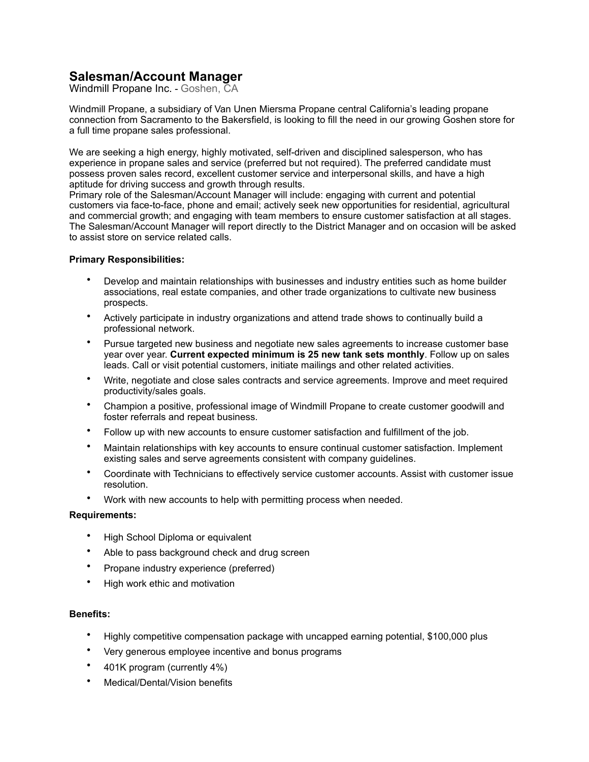## **Salesman/Account Manager**

Windmill Propane Inc. - Goshen, CA

Windmill Propane, a subsidiary of Van Unen Miersma Propane central California's leading propane connection from Sacramento to the Bakersfield, is looking to fill the need in our growing Goshen store for a full time propane sales professional.

We are seeking a high energy, highly motivated, self-driven and disciplined salesperson, who has experience in propane sales and service (preferred but not required). The preferred candidate must possess proven sales record, excellent customer service and interpersonal skills, and have a high aptitude for driving success and growth through results.

Primary role of the Salesman/Account Manager will include: engaging with current and potential customers via face-to-face, phone and email; actively seek new opportunities for residential, agricultural and commercial growth; and engaging with team members to ensure customer satisfaction at all stages. The Salesman/Account Manager will report directly to the District Manager and on occasion will be asked to assist store on service related calls.

## **Primary Responsibilities:**

- Develop and maintain relationships with businesses and industry entities such as home builder associations, real estate companies, and other trade organizations to cultivate new business prospects.
- Actively participate in industry organizations and attend trade shows to continually build a professional network.
- Pursue targeted new business and negotiate new sales agreements to increase customer base year over year. **Current expected minimum is 25 new tank sets monthly**. Follow up on sales leads. Call or visit potential customers, initiate mailings and other related activities.
- Write, negotiate and close sales contracts and service agreements. Improve and meet required productivity/sales goals.
- Champion a positive, professional image of Windmill Propane to create customer goodwill and foster referrals and repeat business.
- Follow up with new accounts to ensure customer satisfaction and fulfillment of the job.
- Maintain relationships with key accounts to ensure continual customer satisfaction. Implement existing sales and serve agreements consistent with company guidelines.
- Coordinate with Technicians to effectively service customer accounts. Assist with customer issue resolution.
- Work with new accounts to help with permitting process when needed.

## **Requirements:**

- High School Diploma or equivalent
- Able to pass background check and drug screen
- Propane industry experience (preferred)
- High work ethic and motivation

## **Benefits:**

- Highly competitive compensation package with uncapped earning potential, \$100,000 plus
- Very generous employee incentive and bonus programs
- 401K program (currently 4%)
- Medical/Dental/Vision benefits